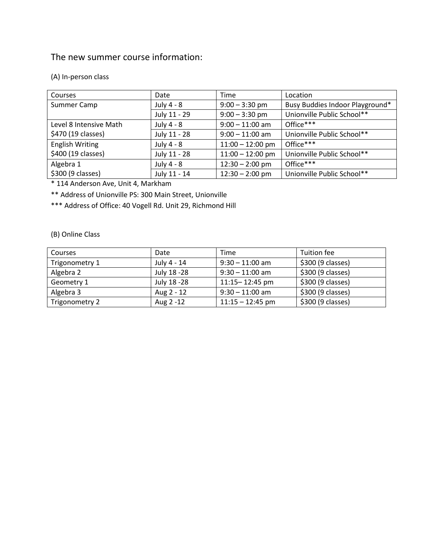### The new summer course information:

#### (A) In-person class

| Courses                | Date         | Time               | Location                        |
|------------------------|--------------|--------------------|---------------------------------|
| Summer Camp            | July 4 - 8   | $9:00 - 3:30$ pm   | Busy Buddies Indoor Playground* |
|                        | July 11 - 29 | $9:00 - 3:30$ pm   | Unionville Public School**      |
| Level 8 Intensive Math | July 4 - 8   | $9:00 - 11:00$ am  | Office***                       |
| \$470 (19 classes)     | July 11 - 28 | $9:00 - 11:00$ am  | Unionville Public School**      |
| <b>English Writing</b> | July 4 - 8   | $11:00 - 12:00$ pm | Office***                       |
| \$400 (19 classes)     | July 11 - 28 | $11:00 - 12:00$ pm | Unionville Public School**      |
| Algebra 1              | July 4 - 8   | $12:30 - 2:00$ pm  | Office***                       |
| \$300 (9 classes)      | July 11 - 14 | $12:30 - 2:00$ pm  | Unionville Public School**      |

\* 114 Anderson Ave, Unit 4, Markham

\*\* Address of Unionville PS: 300 Main Street, Unionville

\*\*\* Address of Office: 40 Vogell Rd. Unit 29, Richmond Hill

#### (B) Online Class

| Courses        | Date         | Time               | Tuition fee       |
|----------------|--------------|--------------------|-------------------|
| Trigonometry 1 | July 4 - 14  | $9:30 - 11:00$ am  | \$300 (9 classes) |
| Algebra 2      | July 18 - 28 | $9:30 - 11:00$ am  | \$300 (9 classes) |
| Geometry 1     | July 18 - 28 | $11:15 - 12:45$ pm | \$300 (9 classes) |
| Algebra 3      | Aug 2 - 12   | $9:30 - 11:00$ am  | \$300 (9 classes) |
| Trigonometry 2 | Aug 2 -12    | $11:15 - 12:45$ pm | \$300 (9 classes) |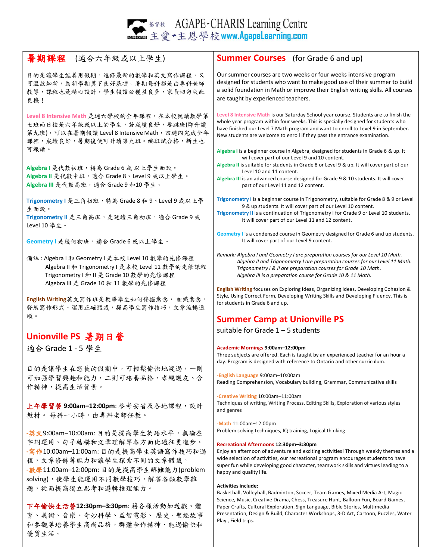**AGAPE** - CHARIS Learning Centre<br>主愛 - 主恩學校 www.AgapeLearning.com

| 暑期課程 (適合六年級或以上學生)                                                                                                                                                      | <b>Summer Courses</b> (for Grade 6 and up)                                                                                                                                                                                                                                                                                                                                                                                            |
|------------------------------------------------------------------------------------------------------------------------------------------------------------------------|---------------------------------------------------------------------------------------------------------------------------------------------------------------------------------------------------------------------------------------------------------------------------------------------------------------------------------------------------------------------------------------------------------------------------------------|
| 目的是讓學生能善用假期,進修最新的數學和英文寫作課程,又<br>可溫故知新,為新學期奠下良好基礎。暑期每科都是由專科老師<br>教導,課程也是精心設計,學生報讀必獲益良多,家長切勿失此<br>良機!                                                                    | Our summer courses are two weeks or four weeks intensive program<br>designed for students who want to make good use of their summer to build<br>a solid foundation in Math or improve their English writing skills. All courses<br>are taught by experienced teachers.                                                                                                                                                                |
| Level 8 Intensive Math 是週六學校的全年課程。在本校就讀數學第<br>七班而日校是六年級或以上的學生,若成績良好,要跳班(即升讀<br>第九班),可以在暑期報讀 Level 8 Intensive Math, 四週內完成全年<br>課程, 成績良好, 暑期後便可升讀第九班。編班試合格, 新生也<br>可報讀。 | Level 8 Intensive Math is our Saturday School year course. Students are to finish the<br>whole year program within four weeks. This is specially designed for students who<br>have finished our Level 7 Math program and want to enroll to Level 9 in September.<br>New students are welcome to enroll if they pass the entrance examination.<br>Algebra I is a beginner course in Algebra, designed for students in Grade 6 & up. It |
| Algebral 是代數初班, 特為 Grade 6 或 以上學生而設。<br>Algebra II 是代數中班,適合 Grade 8、Level 9 或以上學生。<br>Algebra III 是代數高班,適合 Grade 9 和10 學生。                                             | will cover part of our Level 9 and 10 content.<br>Algebra II is suitable for students in Grade 8 or Level 9 & up. It will cover part of our<br>Level 10 and 11 content.<br>Algebra III is an advanced course designed for Grade 9 & 10 students. It will cover<br>part of our Level 11 and 12 content.                                                                                                                                |
| Trigonometry I 是三角初班, 特為 Grade 8 和 9、Level 9 或以上學<br>生而設。<br>Trigonometry II 是三角高班,是延續三角初班,適合 Grade 9 或<br>Level 10學生。                                                 | Trigonometry I is a beginner course in Trigonometry, suitable for Grade 8 & 9 or Level<br>9 & up students. It will cover part of our Level 10 content.<br>Trigonometry II is a continuation of Trigonometry I for Grade 9 or Level 10 students.<br>It will cover part of our Level 11 and 12 content.                                                                                                                                 |
| Geometry I 是幾何初班, 適合 Grade 6 或以上學生。                                                                                                                                    | Geometry I is a condensed course in Geometry designed for Grade 6 and up students.<br>It will cover part of our Level 9 content.                                                                                                                                                                                                                                                                                                      |
| 備註: Algebra I 和 Geometry I 是本校 Level 10 數學的先修課程<br>Algebra II 和 Trigonometry I 是本校 Level 11 數學的先修課程<br>Trigonometry   和    是 Grade 10 數學的先修課程                          | Remark: Algebra I and Geometry I are preparation courses for our Level 10 Math.<br>Algebra II and Trigonometry I are preparation courses for our Level 11 Math.<br>Trigonometry I & II are preparation courses for Grade 10 Math.<br>Algebra III is a preparation course for Grade 10 & 11 Math.                                                                                                                                      |
| Algebra III 是 Grade 10 和 11 數學的先修課程<br>English Writing英文寫作班是教導學生如何發掘意念, 組織意念,<br>發展寫作形式、運用正確體裁,提高學生寫作技巧,文章流暢通                                                          | English Writing focuses on Exploring Ideas, Organizing Ideas, Developing Cohesion &<br>Style, Using Correct Form, Developing Writing Skills and Developing Fluency. This is<br>for students in Grade 6 and up.                                                                                                                                                                                                                        |
| 順。                                                                                                                                                                     | <b>Summer Camp at Unionville PS</b>                                                                                                                                                                                                                                                                                                                                                                                                   |
| Unionville PS 暑期日營                                                                                                                                                     | suitable for Grade $1 - 5$ students                                                                                                                                                                                                                                                                                                                                                                                                   |
| 適合 Grade 1 - 5 學生                                                                                                                                                      | Academic Mornings 9:00am-12:00pm<br>Three subjects are offered. Each is taught by an experienced teacher for an hour a<br>day. Program is designed with reference to Ontario and other curriculum.                                                                                                                                                                                                                                    |
| 目的是讓學生在悠長的假期中,可輕鬆愉快地渡過,一則<br>可加强學習興趣和能力,二則可培養品格、孝親護友、合<br>作精神,提高生活質素。                                                                                                  | -English Language 9:00am-10:00am<br>Reading Comprehension, Vocabulary building, Grammar, Communicative skills                                                                                                                                                                                                                                                                                                                         |
| 上午學習營9:00am-12:00pm: 参考安省及各地課程, 設計<br>教材。每科一小時,由專科老師任教。                                                                                                                | -Creative Writing 10:00am-11:00am<br>Techniques of writing, Writing Process, Editing Skills, Exploration of various styles<br>and genres                                                                                                                                                                                                                                                                                              |
| -英文9:00am-10:00am: 目的是提高學生英語水平, 無論在                                                                                                                                    | -Math 11:00am-12:00pm<br>Problem solving techniques, IQ training, Logical thinking                                                                                                                                                                                                                                                                                                                                                    |
| 字詞運用、句子結構和文章理解等各方面比過往更進步。<br>- 寫作10:00am-11:00am: 目的是提高學生英語寫作技巧和過<br>程,文章修飾等能力和讓學生探索不同的文章體裁。<br>-数學11:00am-12:00pm: 目的是提高學生解難能力(problem                                | Recreational Afternoons 12:30pm-3:30pm<br>Enjoy an afternoon of adventure and exciting activities! Through weekly themes and a<br>wide selection of activities, our recreational program encourages students to have<br>super fun while developing good character, teamwork skills and virtues leading to a<br>happy and quality life.                                                                                                |
| solving), 使學生能運用不同數學技巧, 解答各類數學難<br>題,從而提高獨立思考和邏輯推理能力。                                                                                                                  | <b>Activities include:</b>                                                                                                                                                                                                                                                                                                                                                                                                            |

下午愉快生活營**12:30pm–3:30pm**: 藉各樣活動如遊戲、體 育、美術、音樂、奇妙科學、益智電影、 歷史、聖經故事 和參觀等培養學生高尚品格,群體合作精神、能過愉快和 優質生活。

Basketball, Volleyball, Badminton, Soccer, Team Games, Mixed Media Art, Magic Science, Music, Creative Drama, Chess, Treasure Hunt, Balloon Fun, Board Games, Paper Crafts, Cultural Exploration, Sign Language, Bible Stories, Multimedia Presentation, Design & Build, Character Workshops, 3-D Art, Cartoon, Puzzles, Water Play , Field trips.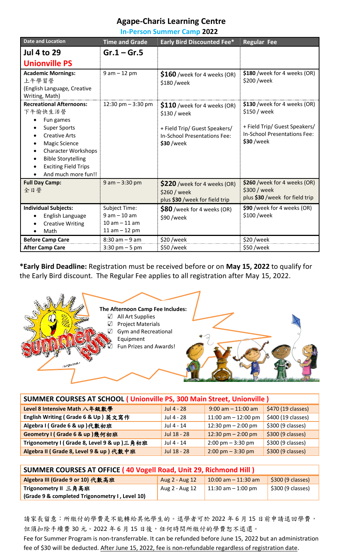## **Agape-Charis Learning Centre**

**In-Person Summer Camp 2022**

| <b>Date and Location</b>                                                                                                                                                                                                                                                               | Time and Grade                                                               | <b>Early Bird Discounted Fee*</b>                                                                                           | <b>Regular Fee</b>                                                                                                                  |
|----------------------------------------------------------------------------------------------------------------------------------------------------------------------------------------------------------------------------------------------------------------------------------------|------------------------------------------------------------------------------|-----------------------------------------------------------------------------------------------------------------------------|-------------------------------------------------------------------------------------------------------------------------------------|
| <b>Jul 4 to 29</b>                                                                                                                                                                                                                                                                     | $Gr.1 - Gr.5$                                                                |                                                                                                                             |                                                                                                                                     |
| <b>Unionville PS</b>                                                                                                                                                                                                                                                                   |                                                                              |                                                                                                                             |                                                                                                                                     |
| <b>Academic Mornings:</b><br>上午學習營<br>(English Language, Creative<br>Writing, Math)                                                                                                                                                                                                    | $9 am - 12 pm$                                                               | $$160$ /week for 4 weeks (OR)<br>\$180/week                                                                                 | \$180 /week for 4 weeks (OR)<br>\$200 /week                                                                                         |
| <b>Recreational Afternoons:</b><br>下午愉快生活營<br>Fun games<br><b>Super Sports</b><br><b>Creative Arts</b><br>$\bullet$<br><b>Magic Science</b><br><b>Character Workshops</b><br>$\bullet$<br><b>Bible Storytelling</b><br>$\bullet$<br><b>Exciting Field Trips</b><br>And much more fun!! | 12:30 pm $-$ 3:30 pm                                                         | \$110 /week for 4 weeks (OR)<br>\$130 / week<br>+ Field Trip/ Guest Speakers/<br>In-School Presentations Fee:<br>\$30 /week | \$130 /week for 4 weeks (OR)<br>\$150 / week<br>+ Field Trip/ Guest Speakers/<br><b>In-School Presentations Fee:</b><br>$$30$ /week |
| <b>Full Day Camp:</b><br>全日營                                                                                                                                                                                                                                                           | $9$ am $- 3:30$ pm                                                           | \$220 /week for 4 weeks (OR)<br>\$260 / week<br>plus \$30 /week for field trip                                              | \$260 /week for 4 weeks (OR)<br>\$300 / week<br>plus \$30 /week for field trip                                                      |
| <b>Individual Subjects:</b><br>English Language<br><b>Creative Writing</b><br>Math                                                                                                                                                                                                     | <b>Subject Time:</b><br>$9 am - 10 am$<br>$10 am - 11 am$<br>11 am $-$ 12 pm | \$80 /week for 4 weeks (OR)<br>\$90 /week                                                                                   | \$90 /week for 4 weeks (OR)<br>\$100 /week                                                                                          |
| <b>Before Camp Care</b>                                                                                                                                                                                                                                                                | $8:30$ am $-9$ am                                                            | \$20/week                                                                                                                   | $$20$ /week                                                                                                                         |
| <b>After Camp Care</b>                                                                                                                                                                                                                                                                 | $3:30$ pm $-5$ pm                                                            | \$50/week                                                                                                                   | \$50/week                                                                                                                           |

**\*Early Bird Deadline:** Registration must be received before or on **May 15, 2022** to qualify for the Early Bird discount. The Regular Fee applies to all registration after May 15, 2022.



| <b>SUMMER COURSES AT SCHOOL (Unionville PS, 300 Main Street, Unionville)</b> |              |                                     |                                 |
|------------------------------------------------------------------------------|--------------|-------------------------------------|---------------------------------|
| Level 8 Intensive Math 八年級數學                                                 | Jul 4 - 28   | $9:00$ am $-11:00$ am               | \$470 (19 classes)              |
| English Writing (Grade 6 & Up) 英文寫作                                          | Jul 4 - 28   | 11:00 am $-$ 12:00 pm               | \$400 (19 classes)              |
| Algebra I (Grade 6 & up)代數初班                                                 | Jul 4 - 14   | 12:30 pm $-$ 2:00 pm                | \$300 (9 classes)               |
| Geometry I (Grade 6 & up) 幾何初班                                               | Jul 18 - 28  | 12:30 pm $- 2:00$ pm                | $\frac{1}{2}$ \$300 (9 classes) |
| Trigonometry I (Grade 8, Level 9 & up) 三角初班                                  | $Jul$ 4 - 14 | $2:00 \text{ pm} - 3:30 \text{ pm}$ | \$300 (9 classes)               |
| Algebra II (Grade 8, Level 9 & up)代數中班                                       | Jul 18 - 28  | $2:00 \text{ pm} - 3:30 \text{ pm}$ | \$300 (9 classes)               |

| <b>SUMMER COURSES AT OFFICE (40 Vogell Road, Unit 29, Richmond Hill)</b> |                |                        |                   |
|--------------------------------------------------------------------------|----------------|------------------------|-------------------|
| Algebra III (Grade 9 or 10) 代數高班                                         | Aug 2 - Aug 12 | $10:00$ am $-11:30$ am | \$300 (9 classes) |
| Trigonometry II 三角高班                                                     | Aug 2 - Aug 12 | $11:30$ am $-1:00$ pm  | \$300 (9 classes) |
| (Grade 9 & completed Trigonometry I, Level 10)                           |                |                        |                   |

請家長留意:所繳付的學費是不能轉給其他學生的。退學者可於 2022 年 6 月 15 日前申請退回學費, 但須扣除手續費 30元。2022年6月15日後,任何時間所繳付的學費恕不退還。

Fee for Summer Program is non-transferrable. It can be refunded before June 15, 2022 but an administration fee of \$30 will be deducted. After June 15, 2022, fee is non-refundable regardless of registration date.